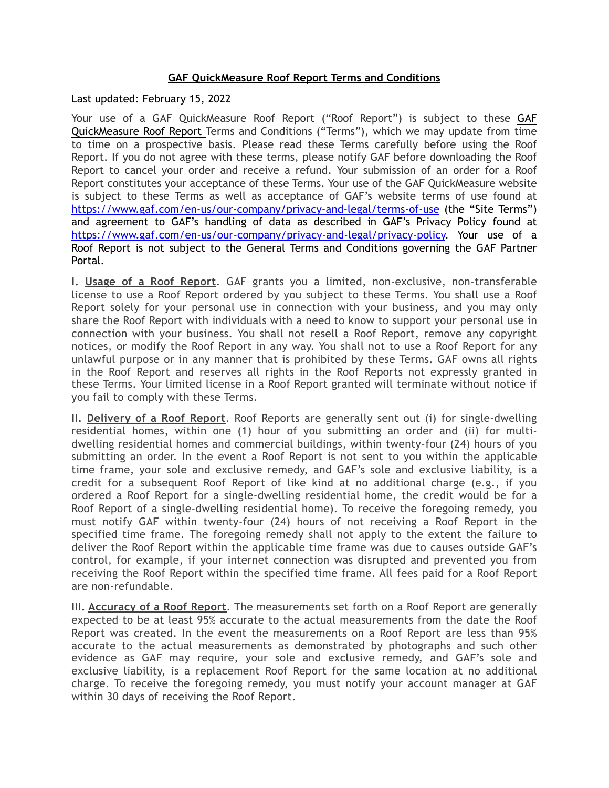## **GAF QuickMeasure Roof Report Terms and Conditions**

Last updated: February 15, 2022

Your use of a GAF QuickMeasure Roof Report ("Roof Report") is subject to these GAF QuickMeasure Roof Report Terms and Conditions ("Terms"), which we may update from time to time on a prospective basis. Please read these Terms carefully before using the Roof Report. If you do not agree with these terms, please notify GAF before downloading the Roof Report to cancel your order and receive a refund. Your submission of an order for a Roof Report constitutes your acceptance of these Terms. Your use of the GAF QuickMeasure website is subject to these Terms as well as acceptance of GAF's website terms of use found at <https://www.gaf.com/en-us/our-company/privacy-and-legal/terms-of-use>(the "Site Terms") and agreement to GAF's handling of data as described in GAF's Privacy Policy found at [https://www.gaf.com/en-us/our-company/privacy-and-legal/privacy-policy.](https://www.gaf.com/en-us/our-company/privacy-and-legal/privacy-policy) Your use of a Roof Report is not subject to the General Terms and Conditions governing the GAF Partner Portal.

**I. Usage of a Roof Report**. GAF grants you a limited, non-exclusive, non-transferable license to use a Roof Report ordered by you subject to these Terms. You shall use a Roof Report solely for your personal use in connection with your business, and you may only share the Roof Report with individuals with a need to know to support your personal use in connection with your business. You shall not resell a Roof Report, remove any copyright notices, or modify the Roof Report in any way. You shall not to use a Roof Report for any unlawful purpose or in any manner that is prohibited by these Terms. GAF owns all rights in the Roof Report and reserves all rights in the Roof Reports not expressly granted in these Terms. Your limited license in a Roof Report granted will terminate without notice if you fail to comply with these Terms.

**II. Delivery of a Roof Report**. Roof Reports are generally sent out (i) for single-dwelling residential homes, within one (1) hour of you submitting an order and (ii) for multidwelling residential homes and commercial buildings, within twenty-four (24) hours of you submitting an order. In the event a Roof Report is not sent to you within the applicable time frame, your sole and exclusive remedy, and GAF's sole and exclusive liability, is a credit for a subsequent Roof Report of like kind at no additional charge (e.g., if you ordered a Roof Report for a single-dwelling residential home, the credit would be for a Roof Report of a single-dwelling residential home). To receive the foregoing remedy, you must notify GAF within twenty-four (24) hours of not receiving a Roof Report in the specified time frame. The foregoing remedy shall not apply to the extent the failure to deliver the Roof Report within the applicable time frame was due to causes outside GAF's control, for example, if your internet connection was disrupted and prevented you from receiving the Roof Report within the specified time frame. All fees paid for a Roof Report are non-refundable.

**III. Accuracy of a Roof Report**. The measurements set forth on a Roof Report are generally expected to be at least 95% accurate to the actual measurements from the date the Roof Report was created. In the event the measurements on a Roof Report are less than 95% accurate to the actual measurements as demonstrated by photographs and such other evidence as GAF may require, your sole and exclusive remedy, and GAF's sole and exclusive liability, is a replacement Roof Report for the same location at no additional charge. To receive the foregoing remedy, you must notify your account manager at GAF within 30 days of receiving the Roof Report.